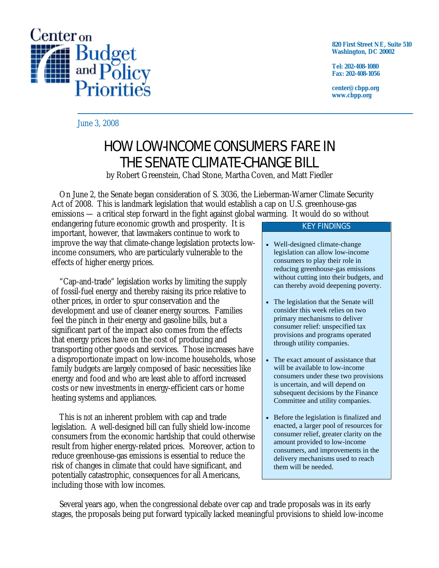

**820 First Street NE, Suite 510 Washington, DC 20002** 

**Tel: 202-408-1080 Fax: 202-408-1056** 

**center@cbpp.org www.cbpp.org** 

June 3, 2008

# HOW LOW-INCOME CONSUMERS FARE IN THE SENATE CLIMATE-CHANGE BILL

by Robert Greenstein, Chad Stone, Martha Coven, and Matt Fiedler

 On June 2, the Senate began consideration of S. 3036, the Lieberman-Warner Climate Security Act of 2008. This is landmark legislation that would establish a cap on U.S. greenhouse-gas emissions — a critical step forward in the fight against global warming. It would do so without

endangering future economic growth and prosperity. It is important, however, that lawmakers continue to work to improve the way that climate-change legislation protects lowincome consumers, who are particularly vulnerable to the effects of higher energy prices.

 "Cap-and-trade" legislation works by limiting the supply of fossil-fuel energy and thereby raising its price relative to other prices, in order to spur conservation and the development and use of cleaner energy sources. Families feel the pinch in their energy and gasoline bills, but a significant part of the impact also comes from the effects that energy prices have on the cost of producing and transporting other goods and services. Those increases have a disproportionate impact on low-income households, whose family budgets are largely composed of basic necessities like energy and food and who are least able to afford increased costs or new investments in energy-efficient cars or home heating systems and appliances.

 This is *not* an inherent problem with cap and trade legislation. A well-designed bill can fully shield low-income consumers from the economic hardship that could otherwise result from higher energy-related prices. Moreover, action to reduce greenhouse-gas emissions is essential to reduce the risk of changes in climate that could have significant, and potentially catastrophic, consequences for all Americans, including those with low incomes.

## KEY FINDINGS

- Well-designed climate-change legislation can allow low-income consumers to play their role in reducing greenhouse-gas emissions without cutting into their budgets, and can thereby avoid deepening poverty.
- The legislation that the Senate will consider this week relies on two primary mechanisms to deliver consumer relief: unspecified tax provisions and programs operated through utility companies.
- The exact amount of assistance that will be available to low-income consumers under these two provisions is uncertain, and will depend on subsequent decisions by the Finance Committee and utility companies.
- Before the legislation is finalized and enacted, a larger pool of resources for consumer relief, greater clarity on the amount provided to low-income consumers, and improvements in the delivery mechanisms used to reach them will be needed.

 Several years ago, when the congressional debate over cap and trade proposals was in its early stages, the proposals being put forward typically lacked meaningful provisions to shield low-income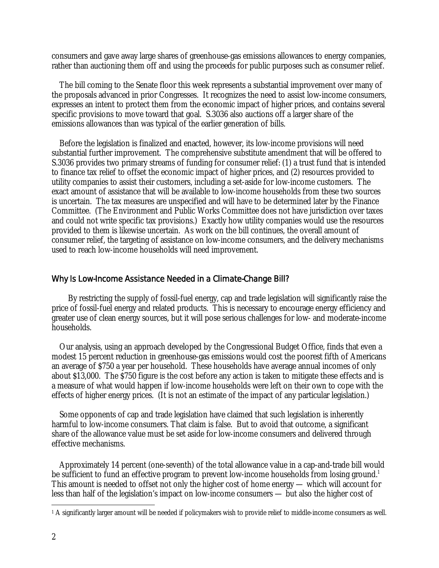consumers and gave away large shares of greenhouse-gas emissions allowances to energy companies, rather than auctioning them off and using the proceeds for public purposes such as consumer relief.

 The bill coming to the Senate floor this week represents a substantial improvement over many of the proposals advanced in prior Congresses. It recognizes the need to assist low-income consumers, expresses an intent to protect them from the economic impact of higher prices, and contains several specific provisions to move toward that goal. S.3036 also auctions off a larger share of the emissions allowances than was typical of the earlier generation of bills.

 Before the legislation is finalized and enacted, however, its low-income provisions will need substantial further improvement. The comprehensive substitute amendment that will be offered to S.3036 provides two primary streams of funding for consumer relief: (1) a trust fund that is intended to finance tax relief to offset the economic impact of higher prices, and (2) resources provided to utility companies to assist their customers, including a set-aside for low-income customers. The exact amount of assistance that will be available to low-income households from these two sources is uncertain. The tax measures are unspecified and will have to be determined later by the Finance Committee. (The Environment and Public Works Committee does not have jurisdiction over taxes and could not write specific tax provisions.) Exactly how utility companies would use the resources provided to them is likewise uncertain. As work on the bill continues, the overall amount of consumer relief, the targeting of assistance on low-income consumers, and the delivery mechanisms used to reach low-income households will need improvement.

#### Why Is Low-Income Assistance Needed in a Climate-Change Bill?

 By restricting the supply of fossil-fuel energy, cap and trade legislation will significantly raise the price of fossil-fuel energy and related products. This is necessary to encourage energy efficiency and greater use of clean energy sources, but it will pose serious challenges for low- and moderate-income households.

Our analysis, using an approach developed by the Congressional Budget Office, finds that even a modest 15 percent reduction in greenhouse-gas emissions would cost the poorest fifth of Americans an average of \$750 a year per household. These households have average annual incomes of only about \$13,000. The \$750 figure is the cost before any action is taken to mitigate these effects and is a measure of what would happen if low-income households were left on their own to cope with the effects of higher energy prices. (It is not an estimate of the impact of any particular legislation.)

Some opponents of cap and trade legislation have claimed that such legislation is inherently harmful to low-income consumers. That claim is false. But to avoid that outcome, a significant share of the allowance value must be set aside for low-income consumers and delivered through effective mechanisms.

Approximately 14 percent (one-seventh) of the total allowance value in a cap-and-trade bill would be sufficient to fund an effective program to prevent low-income households from losing ground.<sup>1</sup> This amount is needed to offset not only the higher cost of home energy — which will account for less than half of the legislation's impact on low-income consumers — but also the higher cost of

 $\overline{a}$ 

<sup>1</sup> A significantly larger amount will be needed if policymakers wish to provide relief to middle-income consumers as well.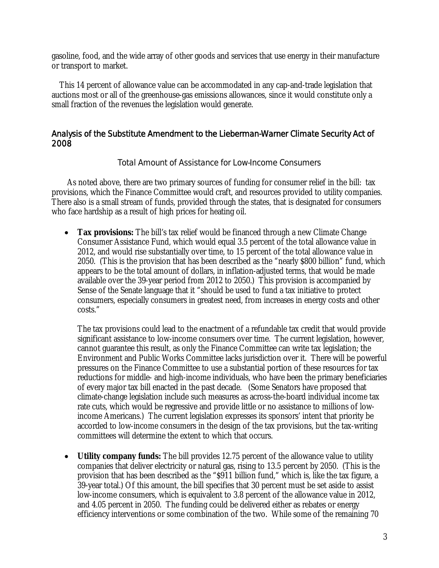gasoline, food, and the wide array of other goods and services that use energy in their manufacture or transport to market.

This 14 percent of allowance value can be accommodated in any cap-and-trade legislation that auctions most or all of the greenhouse-gas emissions allowances, since it would constitute only a small fraction of the revenues the legislation would generate.

## Analysis of the Substitute Amendment to the Lieberman-Warner Climate Security Act of 2008

Total Amount of Assistance for Low-Income Consumers

As noted above, there are two primary sources of funding for consumer relief in the bill: tax provisions, which the Finance Committee would craft, and resources provided to utility companies. There also is a small stream of funds, provided through the states, that is designated for consumers who face hardship as a result of high prices for heating oil.

• **Tax provisions:** The bill's tax relief would be financed through a new Climate Change Consumer Assistance Fund, which would equal 3.5 percent of the total allowance value in 2012, and would rise substantially over time, to 15 percent of the total allowance value in 2050. (This is the provision that has been described as the "nearly \$800 billion" fund, which appears to be the total amount of dollars, in inflation-adjusted terms, that would be made available over the 39-year period from 2012 to 2050.) This provision is accompanied by Sense of the Senate language that it "should be used to fund a tax initiative to protect consumers, especially consumers in greatest need, from increases in energy costs and other costs."

The tax provisions could lead to the enactment of a refundable tax credit that would provide significant assistance to low-income consumers over time. The current legislation, however, cannot guarantee this result, as only the Finance Committee can write tax legislation; the Environment and Public Works Committee lacks jurisdiction over it. There will be powerful pressures on the Finance Committee to use a substantial portion of these resources for tax reductions for middle- and high-income individuals, who have been the primary beneficiaries of every major tax bill enacted in the past decade. (Some Senators have proposed that climate-change legislation include such measures as across-the-board individual income tax rate cuts, which would be regressive and provide little or no assistance to millions of lowincome Americans.) The current legislation expresses its sponsors' intent that priority be accorded to low-income consumers in the design of the tax provisions, but the tax-writing committees will determine the extent to which that occurs.

• **Utility company funds:** The bill provides 12.75 percent of the allowance value to utility companies that deliver electricity or natural gas, rising to 13.5 percent by 2050. (This is the provision that has been described as the "\$911 billion fund," which is, like the tax figure, a 39-year total.) Of this amount, the bill specifies that 30 percent must be set aside to assist low-income consumers, which is equivalent to 3.8 percent of the allowance value in 2012, and 4.05 percent in 2050. The funding could be delivered either as rebates or energy efficiency interventions or some combination of the two. While some of the remaining 70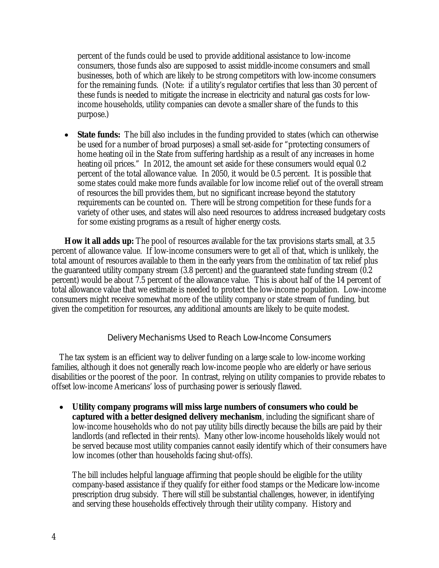percent of the funds could be used to provide additional assistance to low-income consumers, those funds also are supposed to assist middle-income consumers and small businesses, both of which are likely to be strong competitors with low-income consumers for the remaining funds. (Note: if a utility's regulator certifies that less than 30 percent of these funds is needed to mitigate the increase in electricity and natural gas costs for lowincome households, utility companies can devote a smaller share of the funds to this purpose.)

• **State funds:** The bill also includes in the funding provided to states (which can otherwise be used for a number of broad purposes) a small set-aside for "protecting consumers of home heating oil in the State from suffering hardship as a result of any increases in home heating oil prices." In 2012, the amount set aside for these consumers would equal 0.2 percent of the total allowance value. In 2050, it would be 0.5 percent. It is possible that some states could make more funds available for low income relief out of the overall stream of resources the bill provides them, but no significant increase beyond the statutory requirements can be counted on. There will be strong competition for these funds for a variety of other uses, and states will also need resources to address increased budgetary costs for some existing programs as a result of higher energy costs.

**How it all adds up:** The pool of resources available for the tax provisions starts small, at 3.5 percent of allowance value. If low-income consumers were to get *all* of that, which is unlikely, the total amount of resources available to them in the early years from the *combination* of tax relief plus the guaranteed utility company stream (3.8 percent) and the guaranteed state funding stream (0.2 percent) would be about 7.5 percent of the allowance value. This is about half of the 14 percent of total allowance value that we estimate is needed to protect the low-income population. Low-income consumers might receive somewhat more of the utility company or state stream of funding, but given the competition for resources, any additional amounts are likely to be quite modest.

## Delivery Mechanisms Used to Reach Low-Income Consumers

The tax system is an efficient way to deliver funding on a large scale to low-income working families, although it does not generally reach low-income people who are elderly or have serious disabilities or the poorest of the poor. In contrast, relying on utility companies to provide rebates to offset low-income Americans' loss of purchasing power is seriously flawed.

• **Utility company programs will miss large numbers of consumers who could be captured with a better designed delivery mechanism**, including the significant share of low-income households who do not pay utility bills directly because the bills are paid by their landlords (and reflected in their rents). Many other low-income households likely would not be served because most utility companies cannot easily identify which of their consumers have low incomes (other than households facing shut-offs).

The bill includes helpful language affirming that people should be eligible for the utility company-based assistance if they qualify for either food stamps or the Medicare low-income prescription drug subsidy. There will still be substantial challenges, however, in identifying and serving these households effectively through their utility company. History and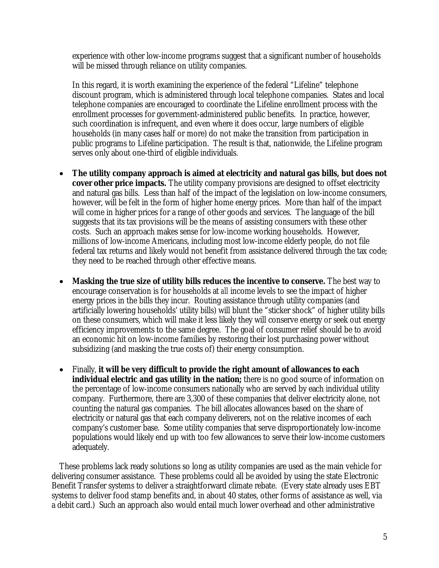experience with other low-income programs suggest that a significant number of households will be missed through reliance on utility companies.

In this regard, it is worth examining the experience of the federal "Lifeline" telephone discount program, which is administered through local telephone companies. States and local telephone companies are encouraged to coordinate the Lifeline enrollment process with the enrollment processes for government-administered public benefits. In practice, however, such coordination is infrequent, and even where it does occur, large numbers of eligible households (in many cases half or more) do not make the transition from participation in public programs to Lifeline participation. The result is that, nationwide, the Lifeline program serves only about one-third of eligible individuals.

- **The utility company approach is aimed at electricity and natural gas bills, but does not cover other price impacts.** The utility company provisions are designed to offset electricity and natural gas bills. Less than half of the impact of the legislation on low-income consumers, however, will be felt in the form of higher home energy prices. More than half of the impact will come in higher prices for a range of other goods and services. The language of the bill suggests that its tax provisions will be the means of assisting consumers with these other costs. Such an approach makes sense for low-income working households. However, millions of low-income Americans, including most low-income elderly people, do not file federal tax returns and likely would not benefit from assistance delivered through the tax code; they need to be reached through other effective means.
- **Masking the true size of utility bills reduces the incentive to conserve.** The best way to encourage conservation is for households at *all* income levels to see the impact of higher energy prices in the bills they incur. Routing assistance through utility companies (and artificially lowering households' utility bills) will blunt the "sticker shock" of higher utility bills on these consumers, which will make it less likely they will conserve energy or seek out energy efficiency improvements to the same degree. The goal of consumer relief should be to avoid an economic hit on low-income families by restoring their lost purchasing power without subsidizing (and masking the true costs of) their energy consumption.
- Finally, **it will be very difficult to provide the right amount of allowances to each individual electric and gas utility in the nation;** there is no good source of information on the percentage of low-income consumers nationally who are served by each individual utility company. Furthermore, there are 3,300 of these companies that deliver electricity alone, not counting the natural gas companies. The bill allocates allowances based on the share of electricity or natural gas that each company deliverers, not on the relative incomes of each company's customer base. Some utility companies that serve disproportionately low-income populations would likely end up with too few allowances to serve their low-income customers adequately.

These problems lack ready solutions so long as utility companies are used as the main vehicle for delivering consumer assistance. These problems could all be avoided by using the state Electronic Benefit Transfer systems to deliver a straightforward climate rebate. (Every state already uses EBT systems to deliver food stamp benefits and, in about 40 states, other forms of assistance as well, via a debit card.) Such an approach also would entail much lower overhead and other administrative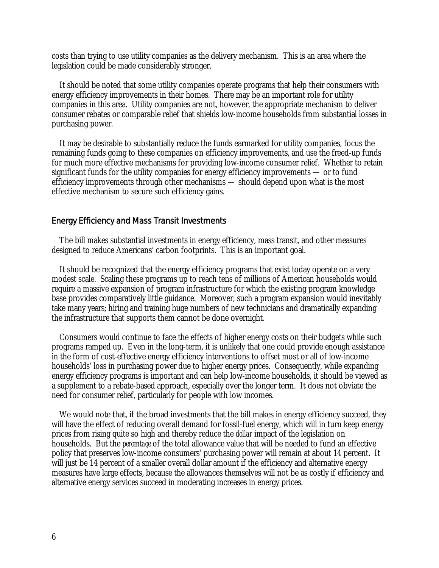costs than trying to use utility companies as the delivery mechanism. This is an area where the legislation could be made considerably stronger.

It should be noted that some utility companies operate programs that help their consumers with energy efficiency improvements in their homes. There may be an important role for utility companies in this area. Utility companies are not, however, the appropriate mechanism to deliver consumer rebates or comparable relief that shields low-income households from substantial losses in purchasing power.

It may be desirable to substantially reduce the funds earmarked for utility companies, focus the remaining funds going to these companies on efficiency improvements, and use the freed-up funds for much more effective mechanisms for providing low-income consumer relief. Whether to retain significant funds for the utility companies for energy efficiency improvements — or to fund efficiency improvements through other mechanisms — should depend upon what is the most effective mechanism to secure such efficiency gains.

#### Energy Efficiency and Mass Transit Investments

The bill makes substantial investments in energy efficiency, mass transit, and other measures designed to reduce Americans' carbon footprints. This is an important goal.

It should be recognized that the energy efficiency programs that exist today operate on a very modest scale. Scaling these programs up to reach tens of millions of American households would require a massive expansion of program infrastructure for which the existing program knowledge base provides comparatively little guidance. Moreover, such a program expansion would inevitably take many years; hiring and training huge numbers of new technicians and dramatically expanding the infrastructure that supports them cannot be done overnight.

Consumers would continue to face the effects of higher energy costs on their budgets while such programs ramped up. Even in the long-term, it is unlikely that one could provide enough assistance in the form of cost-effective energy efficiency interventions to offset most or all of low-income households' loss in purchasing power due to higher energy prices. Consequently, while expanding energy efficiency programs is important and can help low-income households, it should be viewed as a supplement to a rebate-based approach, especially over the longer term. It does not obviate the need for consumer relief, particularly for people with low incomes.

We would note that, if the broad investments that the bill makes in energy efficiency succeed, they will have the effect of reducing overall demand for fossil-fuel energy, which will in turn keep energy prices from rising quite so high and thereby reduce the *dollar* impact of the legislation on households. But the *percentage* of the total allowance value that will be needed to fund an effective policy that preserves low-income consumers' purchasing power will remain at about 14 percent. It will just be 14 percent of a smaller overall dollar amount if the efficiency and alternative energy measures have large effects, because the allowances themselves will not be as costly if efficiency and alternative energy services succeed in moderating increases in energy prices.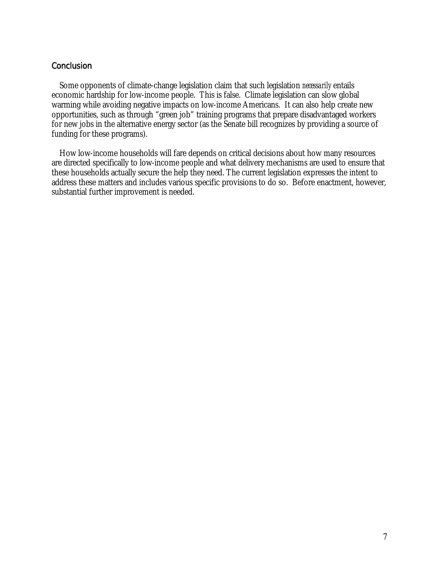## **Conclusion**

Some opponents of climate-change legislation claim that such legislation *necessarily* entails economic hardship for low-income people. This is false. Climate legislation can slow global warming while avoiding negative impacts on low-income Americans. It can also help create new opportunities, such as through "green job" training programs that prepare disadvantaged workers for new jobs in the alternative energy sector (as the Senate bill recognizes by providing a source of funding for these programs).

How low-income households will fare depends on critical decisions about how many resources are directed specifically to low-income people and what delivery mechanisms are used to ensure that these households actually secure the help they need. The current legislation expresses the intent to address these matters and includes various specific provisions to do so. Before enactment, however, substantial further improvement is needed.